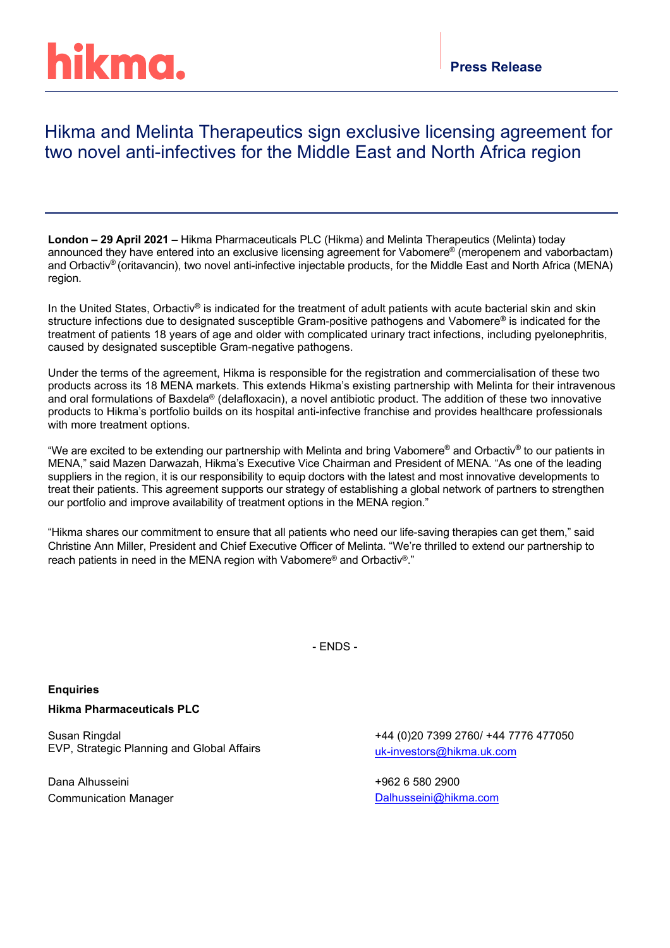# hikma.

## Hikma and Melinta Therapeutics sign exclusive licensing agreement for two novel anti-infectives for the Middle East and North Africa region

**London – 29 April 2021** – Hikma Pharmaceuticals PLC (Hikma) and Melinta Therapeutics (Melinta) today announced they have entered into an exclusive licensing agreement for Vabomere<sup>®</sup> (meropenem and vaborbactam) and Orbactiv® (oritavancin), two novel anti-infective injectable products, for the Middle East and North Africa (MENA) region.

In the United States, Orbactiv**®** is indicated for the treatment of adult patients with acute bacterial skin and skin structure infections due to designated susceptible Gram-positive pathogens and Vabomere**®** is indicated for the treatment of patients 18 years of age and older with complicated urinary tract infections, including pyelonephritis, caused by designated susceptible Gram-negative pathogens.

Under the terms of the agreement, Hikma is responsible for the registration and commercialisation of these two products across its 18 MENA markets. This extends Hikma's existing partnership with Melinta for their intravenous and oral formulations of Baxdela® (delafloxacin), a novel antibiotic product. The addition of these two innovative products to Hikma's portfolio builds on its hospital anti-infective franchise and provides healthcare professionals with more treatment options.

"We are excited to be extending our partnership with Melinta and bring Vabomere® and Orbactiv® to our patients in MENA," said Mazen Darwazah, Hikma's Executive Vice Chairman and President of MENA. "As one of the leading suppliers in the region, it is our responsibility to equip doctors with the latest and most innovative developments to treat their patients. This agreement supports our strategy of establishing a global network of partners to strengthen our portfolio and improve availability of treatment options in the MENA region."

"Hikma shares our commitment to ensure that all patients who need our life-saving therapies can get them," said Christine Ann Miller, President and Chief Executive Officer of Melinta. "We're thrilled to extend our partnership to reach patients in need in the MENA region with Vabomere® and Orbactiv®."

- ENDS -

**Enquiries Hikma Pharmaceuticals PLC**

Susan Ringdal EVP, Strategic Planning and Global Affairs

Dana Alhusseini Communication Manager +44 (0)20 7399 2760/ +44 7776 477050 [uk-investors@hikma.uk.com](mailto:uk-investors@hikma.uk.com)

+962 6 580 2900 [Dalhusseini@hikma.com](mailto:Dalhusseini@hikma.com)